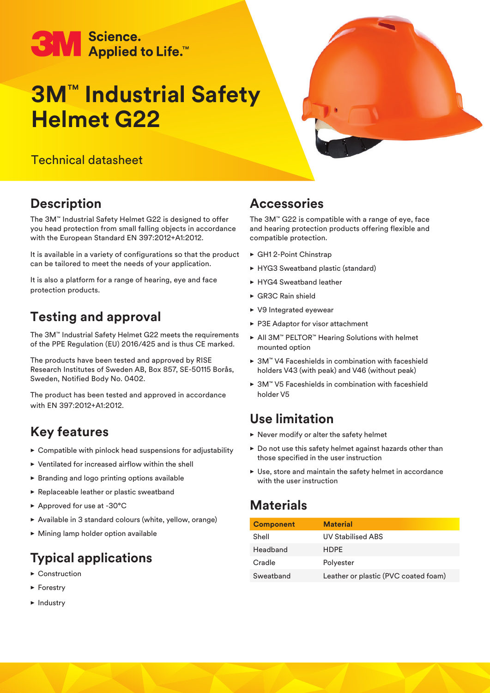# │ Science.<br>│ Applied to Life.™

## **3M**™ **Industrial Safety Helmet G22**

#### Technical datasheet

### **Description**

The 3M™ Industrial Safety Helmet G22 is designed to offer you head protection from small falling objects in accordance with the European Standard EN 397:2012+A1:2012.

It is available in a variety of configurations so that the product can be tailored to meet the needs of your application.

It is also a platform for a range of hearing, eye and face protection products.

### **Testing and approval**

The 3M™ Industrial Safety Helmet G22 meets the requirements of the PPE Regulation (EU) 2016/425 and is thus CE marked.

The products have been tested and approved by RISE Research Institutes of Sweden AB, Box 857, SE-50115 Borås, Sweden, Notified Body No. 0402.

The product has been tested and approved in accordance with EN 397:2012+A1:2012.

#### **Key features**

- $\triangleright$  Compatible with pinlock head suspensions for adjustability
- $\triangleright$  Ventilated for increased airflow within the shell
- $\triangleright$  Branding and logo printing options available
- $\blacktriangleright$  Replaceable leather or plastic sweatband
- $\blacktriangleright$  Approved for use at -30°C
- $\triangleright$  Available in 3 standard colours (white, yellow, orange)
- $\blacktriangleright$  Mining lamp holder option available

#### **Typical applications**

- $\blacktriangleright$  Construction
- $\blacktriangleright$  Forestry
- $\blacktriangleright$  Industry

#### **Accessories**

The 3M™ G22 is compatible with a range of eye, face and hearing protection products offering flexible and compatible protection.

- $\triangleright$  GH1 2-Point Chinstrap
- $\blacktriangleright$  HYG3 Sweatband plastic (standard)
- $\blacktriangleright$  HYG4 Sweatband leather
- $\triangleright$  GR3C Rain shield
- $\triangleright$  V9 Integrated eyewear
- ▶ P3E Adaptor for visor attachment
- ▶ All 3M™ PELTOR™ Hearing Solutions with helmet mounted option
- ► 3M™ V4 Faceshields in combination with faceshield holders V43 (with peak) and V46 (without peak)
- ► 3M™ V5 Faceshields in combination with faceshield holder V5

#### **Use limitation**

- $\blacktriangleright$  Never modify or alter the safety helmet
- $\triangleright$  Do not use this safety helmet against hazards other than those specified in the user instruction
- $\blacktriangleright$  Use, store and maintain the safety helmet in accordance with the user instruction

#### **Materials**

| <b>Component</b> | <b>Material</b>                      |
|------------------|--------------------------------------|
| Shell            | <b>UV Stabilised ABS</b>             |
| Headband         | <b>HDPF</b>                          |
| Cradle           | Polyester                            |
| Sweatband        | Leather or plastic (PVC coated foam) |